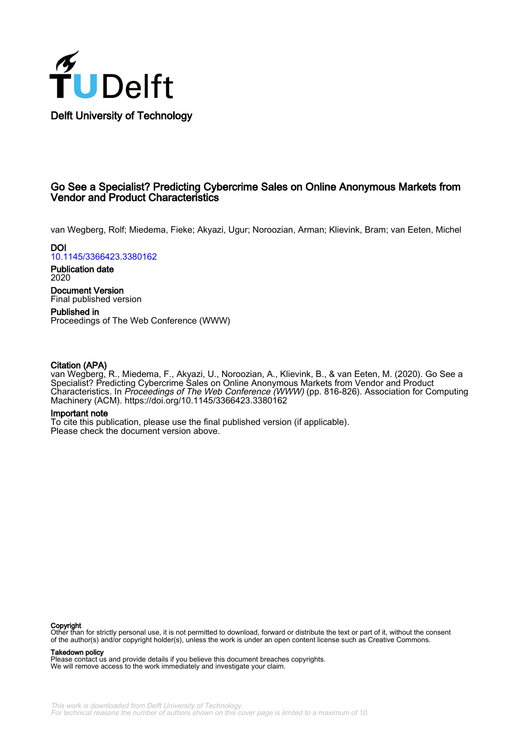

## Go See a Specialist? Predicting Cybercrime Sales on Online Anonymous Markets from Vendor and Product Characteristics

van Wegberg, Rolf; Miedema, Fieke; Akyazi, Ugur; Noroozian, Arman; Klievink, Bram; van Eeten, Michel

**DOI** [10.1145/3366423.3380162](https://doi.org/10.1145/3366423.3380162)

Publication date 2020

Document Version Final published version

Published in Proceedings of The Web Conference (WWW)

## Citation (APA)

van Wegberg, R., Miedema, F., Akyazi, U., Noroozian, A., Klievink, B., & van Eeten, M. (2020). Go See a Specialist? Predicting Cybercrime Sales on Online Anonymous Markets from Vendor and Product Characteristics. In Proceedings of The Web Conference (WWW) (pp. 816-826). Association for Computing Machinery (ACM).<https://doi.org/10.1145/3366423.3380162>

## Important note

To cite this publication, please use the final published version (if applicable). Please check the document version above.

**Copyright**<br>Other than for strictly personal use, it is not permitted to download, forward or distribute the text or part of it, without the consent of the author(s) and/or copyright holder(s), unless the work is under an open content license such as Creative Commons.

Takedown policy

Please contact us and provide details if you believe this document breaches copyrights. We will remove access to the work immediately and investigate your claim.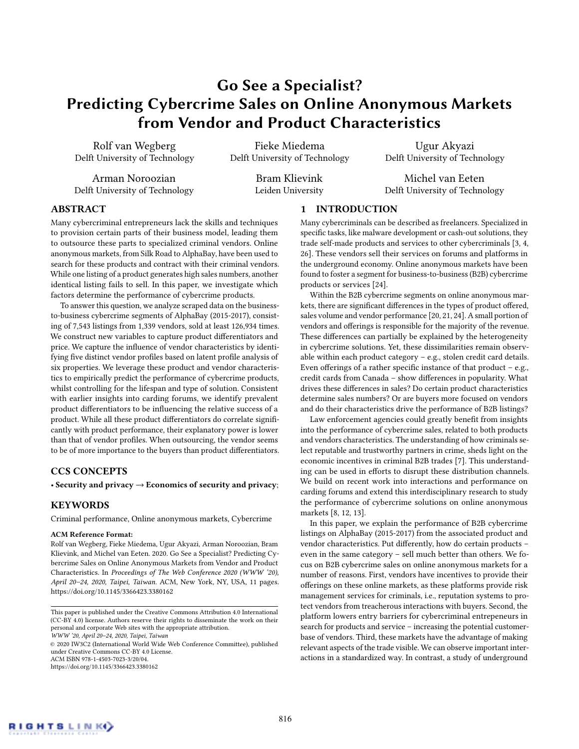# Go See a Specialist? Predicting Cybercrime Sales on Online Anonymous Markets from Vendor and Product Characteristics

Rolf van Wegberg Delft University of Technology

Arman Noroozian Delft University of Technology

Fieke Miedema Delft University of Technology

> Bram Klievink Leiden University

Ugur Akyazi Delft University of Technology

Michel van Eeten Delft University of Technology

## ABSTRACT

Many cybercriminal entrepreneurs lack the skills and techniques to provision certain parts of their business model, leading them to outsource these parts to specialized criminal vendors. Online anonymous markets, from Silk Road to AlphaBay, have been used to search for these products and contract with their criminal vendors. While one listing of a product generates high sales numbers, another identical listing fails to sell. In this paper, we investigate which factors determine the performance of cybercrime products.

To answer this question, we analyze scraped data on the businessto-business cybercrime segments of AlphaBay (2015-2017), consisting of 7,543 listings from 1,339 vendors, sold at least 126,934 times. We construct new variables to capture product differentiators and price. We capture the influence of vendor characteristics by identifying five distinct vendor profiles based on latent profile analysis of six properties. We leverage these product and vendor characteristics to empirically predict the performance of cybercrime products, whilst controlling for the lifespan and type of solution. Consistent with earlier insights into carding forums, we identify prevalent product differentiators to be influencing the relative success of a product. While all these product differentiators do correlate significantly with product performance, their explanatory power is lower than that of vendor profiles. When outsourcing, the vendor seems to be of more importance to the buyers than product differentiators.

## CCS CONCEPTS

• Security and privacy  $\rightarrow$  Economics of security and privacy;

## **KEYWORDS**

Criminal performance, Online anonymous markets, Cybercrime

### ACM Reference Format:

Rolf van Wegberg, Fieke Miedema, Ugur Akyazi, Arman Noroozian, Bram Klievink, and Michel van Eeten. 2020. Go See a Specialist? Predicting Cybercrime Sales on Online Anonymous Markets from Vendor and Product Characteristics. In Proceedings of The Web Conference 2020 (WWW '20), April 20–24, 2020, Taipei, Taiwan. ACM, New York, NY, USA, [11](#page-11-0) pages. <https://doi.org/10.1145/3366423.3380162>

© 2020 IW3C2 (International World Wide Web Conference Committee), published under Creative Commons CC-BY 4.0 License. ACM ISBN 978-1-4503-7023-3/20/04.

<https://doi.org/10.1145/3366423.3380162>

## 1 INTRODUCTION

Many cybercriminals can be described as freelancers. Specialized in specific tasks, like malware development or cash-out solutions, they trade self-made products and services to other cybercriminals [\[3,](#page-11-1) [4,](#page-11-2) [26\]](#page-11-3). These vendors sell their services on forums and platforms in the underground economy. Online anonymous markets have been found to foster a segment for business-to-business (B2B) cybercrime products or services [\[24\]](#page-11-4).

Within the B2B cybercrime segments on online anonymous markets, there are significant differences in the types of product offered, sales volume and vendor performance [\[20,](#page-11-5) [21,](#page-11-6) [24\]](#page-11-4). A small portion of vendors and offerings is responsible for the majority of the revenue. These differences can partially be explained by the heterogeneity in cybercrime solutions. Yet, these dissimilarities remain observable within each product category – e.g., stolen credit card details. Even offerings of a rather specific instance of that product – e.g., credit cards from Canada – show differences in popularity. What drives these differences in sales? Do certain product characteristics determine sales numbers? Or are buyers more focused on vendors and do their characteristics drive the performance of B2B listings?

Law enforcement agencies could greatly benefit from insights into the performance of cybercrime sales, related to both products and vendors characteristics. The understanding of how criminals select reputable and trustworthy partners in crime, sheds light on the economic incentives in criminal B2B trades [\[7\]](#page-11-7). This understanding can be used in efforts to disrupt these distribution channels. We build on recent work into interactions and performance on carding forums and extend this interdisciplinary research to study the performance of cybercrime solutions on online anonymous markets [\[8,](#page-11-8) [12,](#page-11-9) [13\]](#page-11-10).

In this paper, we explain the performance of B2B cybercrime listings on AlphaBay (2015-2017) from the associated product and vendor characteristics. Put differently, how do certain products – even in the same category – sell much better than others. We focus on B2B cybercrime sales on online anonymous markets for a number of reasons. First, vendors have incentives to provide their offerings on these online markets, as these platforms provide risk management services for criminals, i.e., reputation systems to protect vendors from treacherous interactions with buyers. Second, the platform lowers entry barriers for cybercriminal entrepeneurs in search for products and service – increasing the potential customerbase of vendors. Third, these markets have the advantage of making relevant aspects of the trade visible. We can observe important interactions in a standardized way. In contrast, a study of underground

This paper is published under the Creative Commons Attribution 4.0 International (CC-BY 4.0) license. Authors reserve their rights to disseminate the work on their personal and corporate Web sites with the appropriate attribution.

WWW '20, April 20–24, 2020, Taipei, Taiwan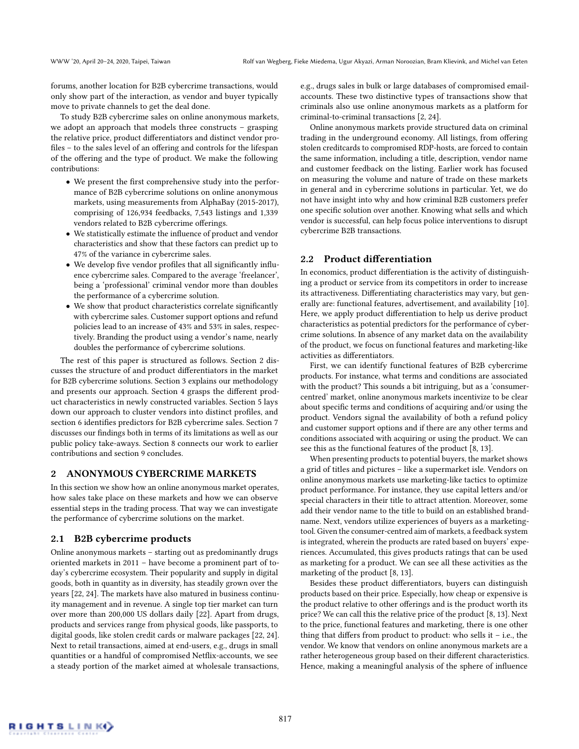forums, another location for B2B cybercrime transactions, would only show part of the interaction, as vendor and buyer typically move to private channels to get the deal done.

To study B2B cybercrime sales on online anonymous markets, we adopt an approach that models three constructs – grasping the relative price, product differentiators and distinct vendor profiles – to the sales level of an offering and controls for the lifespan of the offering and the type of product. We make the following contributions:

- We present the first comprehensive study into the performance of B2B cybercrime solutions on online anonymous markets, using measurements from AlphaBay (2015-2017), comprising of 126,934 feedbacks, 7,543 listings and 1,339 vendors related to B2B cybercrime offerings.
- We statistically estimate the influence of product and vendor characteristics and show that these factors can predict up to 47% of the variance in cybercrime sales.
- We develop five vendor profiles that all significantly influence cybercrime sales. Compared to the average 'freelancer', being a 'professional' criminal vendor more than doubles the performance of a cybercrime solution.
- We show that product characteristics correlate significantly with cybercrime sales. Customer support options and refund policies lead to an increase of 43% and 53% in sales, respectively. Branding the product using a vendor's name, nearly doubles the performance of cybercrime solutions.

The rest of this paper is structured as follows. Section 2 discusses the structure of and product differentiators in the market for B2B cybercrime solutions. Section 3 explains our methodology and presents our approach. Section 4 grasps the different product characteristics in newly constructed variables. Section 5 lays down our approach to cluster vendors into distinct profiles, and section 6 identifies predictors for B2B cybercrime sales. Section 7 discusses our findings both in terms of its limitations as well as our public policy take-aways. Section 8 connects our work to earlier contributions and section 9 concludes.

## 2 ANONYMOUS CYBERCRIME MARKETS

In this section we show how an online anonymous market operates, how sales take place on these markets and how we can observe essential steps in the trading process. That way we can investigate the performance of cybercrime solutions on the market.

## 2.1 B2B cybercrime products

Online anonymous markets – starting out as predominantly drugs oriented markets in 2011 – have become a prominent part of today's cybercrime ecosystem. Their popularity and supply in digital goods, both in quantity as in diversity, has steadily grown over the years [\[22,](#page-11-11) [24\]](#page-11-4). The markets have also matured in business continuity management and in revenue. A single top tier market can turn over more than 200,000 US dollars daily [\[22\]](#page-11-11). Apart from drugs, products and services range from physical goods, like passports, to digital goods, like stolen credit cards or malware packages [\[22,](#page-11-11) [24\]](#page-11-4). Next to retail transactions, aimed at end-users, e.g., drugs in small quantities or a handful of compromised Netflix-accounts, we see a steady portion of the market aimed at wholesale transactions,

e.g., drugs sales in bulk or large databases of compromised emailaccounts. These two distinctive types of transactions show that criminals also use online anonymous markets as a platform for criminal-to-criminal transactions [\[2,](#page-11-12) [24\]](#page-11-4).

Online anonymous markets provide structured data on criminal trading in the underground economy. All listings, from offering stolen creditcards to compromised RDP-hosts, are forced to contain the same information, including a title, description, vendor name and customer feedback on the listing. Earlier work has focused on measuring the volume and nature of trade on these markets in general and in cybercrime solutions in particular. Yet, we do not have insight into why and how criminal B2B customers prefer one specific solution over another. Knowing what sells and which vendor is successful, can help focus police interventions to disrupt cybercrime B2B transactions.

## <span id="page-2-0"></span>2.2 Product differentiation

In economics, product differentiation is the activity of distinguishing a product or service from its competitors in order to increase its attractiveness. Differentiating characteristics may vary, but generally are: functional features, advertisement, and availability [\[10\]](#page-11-13). Here, we apply product differentiation to help us derive product characteristics as potential predictors for the performance of cybercrime solutions. In absence of any market data on the availability of the product, we focus on functional features and marketing-like activities as differentiators.

First, we can identify functional features of B2B cybercrime products. For instance, what terms and conditions are associated with the product? This sounds a bit intriguing, but as a 'consumercentred' market, online anonymous markets incentivize to be clear about specific terms and conditions of acquiring and/or using the product. Vendors signal the availability of both a refund policy and customer support options and if there are any other terms and conditions associated with acquiring or using the product. We can see this as the functional features of the product [\[8,](#page-11-8) [13\]](#page-11-10).

When presenting products to potential buyers, the market shows a grid of titles and pictures – like a supermarket isle. Vendors on online anonymous markets use marketing-like tactics to optimize product performance. For instance, they use capital letters and/or special characters in their title to attract attention. Moreover, some add their vendor name to the title to build on an established brandname. Next, vendors utilize experiences of buyers as a marketingtool. Given the consumer-centred aim of markets, a feedback system is integrated, wherein the products are rated based on buyers' experiences. Accumulated, this gives products ratings that can be used as marketing for a product. We can see all these activities as the marketing of the product [\[8,](#page-11-8) [13\]](#page-11-10).

Besides these product differentiators, buyers can distinguish products based on their price. Especially, how cheap or expensive is the product relative to other offerings and is the product worth its price? We can call this the relative price of the product [\[8,](#page-11-8) [13\]](#page-11-10). Next to the price, functional features and marketing, there is one other thing that differs from product to product: who sells it  $-$  i.e., the vendor. We know that vendors on online anonymous markets are a rather heterogeneous group based on their different characteristics. Hence, making a meaningful analysis of the sphere of influence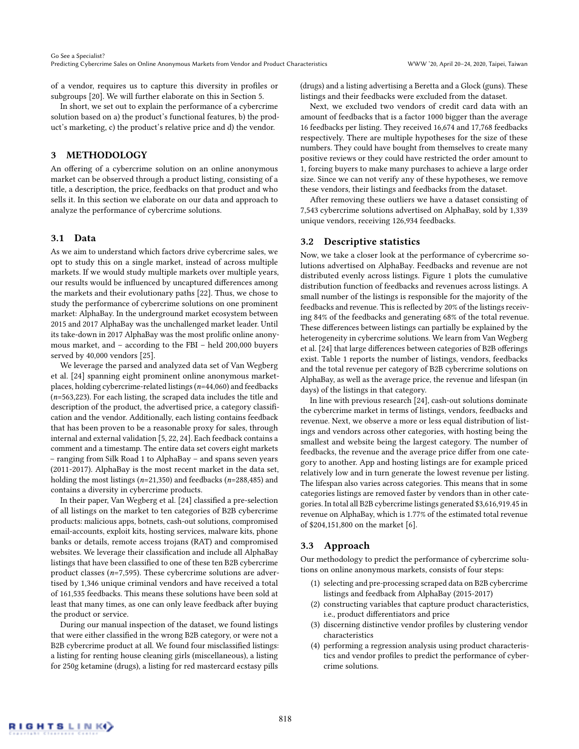of a vendor, requires us to capture this diversity in profiles or subgroups [\[20\]](#page-11-5). We will further elaborate on this in Section [5.](#page-6-0)

In short, we set out to explain the performance of a cybercrime solution based on a) the product's functional features, b) the product's marketing, c) the product's relative price and d) the vendor.

## 3 METHODOLOGY

An offering of a cybercrime solution on an online anonymous market can be observed through a product listing, consisting of a title, a description, the price, feedbacks on that product and who sells it. In this section we elaborate on our data and approach to analyze the performance of cybercrime solutions.

### 3.1 Data

As we aim to understand which factors drive cybercrime sales, we opt to study this on a single market, instead of across multiple markets. If we would study multiple markets over multiple years, our results would be influenced by uncaptured differences among the markets and their evolutionary paths [\[22\]](#page-11-11). Thus, we chose to study the performance of cybercrime solutions on one prominent market: AlphaBay. In the underground market ecosystem between 2015 and 2017 AlphaBay was the unchallenged market leader. Until its take-down in 2017 AlphaBay was the most prolific online anonymous market, and – according to the FBI – held 200,000 buyers served by 40,000 vendors [\[25\]](#page-11-14).

We leverage the parsed and analyzed data set of Van Wegberg et al. [\[24\]](#page-11-4) spanning eight prominent online anonymous marketplaces, holding cybercrime-related listings ( $n=44,060$ ) and feedbacks  $(n=563,223)$ . For each listing, the scraped data includes the title and description of the product, the advertised price, a category classification and the vendor. Additionally, each listing contains feedback that has been proven to be a reasonable proxy for sales, through internal and external validation [\[5,](#page-11-15) [22,](#page-11-11) [24\]](#page-11-4). Each feedback contains a comment and a timestamp. The entire data set covers eight markets – ranging from Silk Road 1 to AlphaBay – and spans seven years (2011-2017). AlphaBay is the most recent market in the data set, holding the most listings ( $n=21,350$ ) and feedbacks ( $n=288,485$ ) and contains a diversity in cybercrime products.

In their paper, Van Wegberg et al. [\[24\]](#page-11-4) classified a pre-selection of all listings on the market to ten categories of B2B cybercrime products: malicious apps, botnets, cash-out solutions, compromised email-accounts, exploit kits, hosting services, malware kits, phone banks or details, remote access trojans (RAT) and compromised websites. We leverage their classification and include all AlphaBay listings that have been classified to one of these ten B2B cybercrime product classes ( $n=7,595$ ). These cybercrime solutions are advertised by 1,346 unique criminal vendors and have received a total of 161,535 feedbacks. This means these solutions have been sold at least that many times, as one can only leave feedback after buying the product or service.

During our manual inspection of the dataset, we found listings that were either classified in the wrong B2B category, or were not a B2B cybercrime product at all. We found four misclassified listings: a listing for renting house cleaning girls (miscellaneous), a listing for 250g ketamine (drugs), a listing for red mastercard ecstasy pills

(drugs) and a listing advertising a Beretta and a Glock (guns). These listings and their feedbacks were excluded from the dataset.

Next, we excluded two vendors of credit card data with an amount of feedbacks that is a factor 1000 bigger than the average 16 feedbacks per listing. They received 16,674 and 17,768 feedbacks respectively. There are multiple hypotheses for the size of these numbers. They could have bought from themselves to create many positive reviews or they could have restricted the order amount to 1, forcing buyers to make many purchases to achieve a large order size. Since we can not verify any of these hypotheses, we remove these vendors, their listings and feedbacks from the dataset.

After removing these outliers we have a dataset consisting of 7,543 cybercrime solutions advertised on AlphaBay, sold by 1,339 unique vendors, receiving 126,934 feedbacks.

#### 3.2 Descriptive statistics

Now, we take a closer look at the performance of cybercrime solutions advertised on AlphaBay. Feedbacks and revenue are not distributed evenly across listings. Figure [1](#page-4-0) plots the cumulative distribution function of feedbacks and revenues across listings. A small number of the listings is responsible for the majority of the feedbacks and revenue. This is reflected by 20% of the listings receiving 84% of the feedbacks and generating 68% of the total revenue. These differences between listings can partially be explained by the heterogeneity in cybercrime solutions. We learn from Van Wegberg et al. [\[24\]](#page-11-4) that large differences between categories of B2B offerings exist. Table [1](#page-4-1) reports the number of listings, vendors, feedbacks and the total revenue per category of B2B cybercrime solutions on AlphaBay, as well as the average price, the revenue and lifespan (in days) of the listings in that category.

In line with previous research [\[24\]](#page-11-4), cash-out solutions dominate the cybercrime market in terms of listings, vendors, feedbacks and revenue. Next, we observe a more or less equal distribution of listings and vendors across other categories, with hosting being the smallest and website being the largest category. The number of feedbacks, the revenue and the average price differ from one category to another. App and hosting listings are for example priced relatively low and in turn generate the lowest revenue per listing. The lifespan also varies across categories. This means that in some categories listings are removed faster by vendors than in other categories. In total all B2B cybercrime listings generated \$3,616,919.45 in revenue on AlphaBay, which is 1.77% of the estimated total revenue of \$204,151,800 on the market [\[6\]](#page-11-16).

## 3.3 Approach

Our methodology to predict the performance of cybercrime solutions on online anonymous markets, consists of four steps:

- (1) selecting and pre-processing scraped data on B2B cybercrime listings and feedback from AlphaBay (2015-2017)
- (2) constructing variables that capture product characteristics, i.e., product differentiators and price
- (3) discerning distinctive vendor profiles by clustering vendor characteristics
- (4) performing a regression analysis using product characteristics and vendor profiles to predict the performance of cybercrime solutions.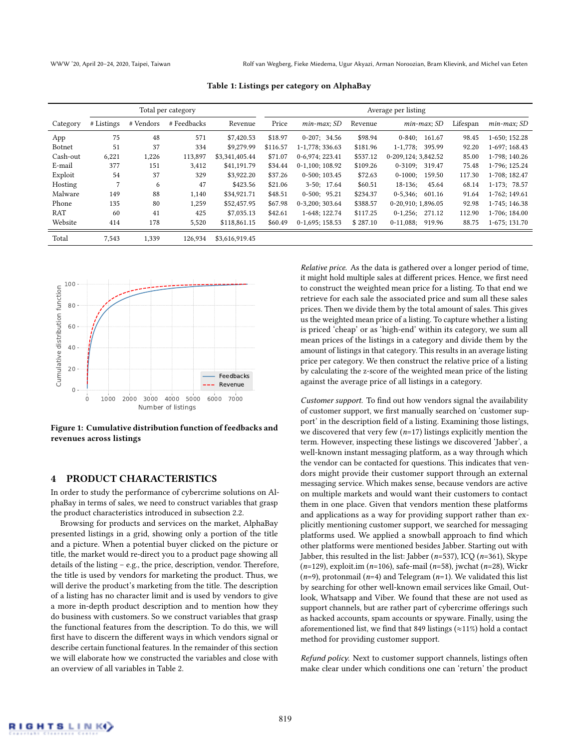<span id="page-4-1"></span>WWW '20, April 20–24, 2020, Taipei, Taiwan Rolf van Wegberg, Fieke Miedema, Ugur Akyazi, Arman Noroozian, Bram Klievink, and Michel van Eeten

| Total per category |            |           |             | Average per listing |          |                   |          |                         |          |                  |
|--------------------|------------|-----------|-------------|---------------------|----------|-------------------|----------|-------------------------|----------|------------------|
| Category           | # Listings | # Vendors | # Feedbacks | Revenue             | Price    | $min$ -max: $SD$  | Revenue  | min-max; SD             | Lifespan | $min$ -max; $SD$ |
| App                | 75         | 48        | 571         | \$7,420.53          | \$18.97  | $0-207; 34.56$    | \$98.94  | $0 - 840:$<br>161.67    | 98.45    | 1-650; 152.28    |
| Botnet             | 51         | 37        | 334         | \$9,279.99          | \$116.57 | 1-1,778; 336.63   | \$181.96 | $1 - 1.778$ :<br>395.99 | 92.20    | 1-697; 168.43    |
| Cash-out           | 6,221      | 1,226     | 113,897     | \$3,341,405.44      | \$71.07  | 0-6.974: 223.41   | \$537.12 | 0-209.124: 3.842.52     | 85.00    | 1-798: 140.26    |
| E-mail             | 377        | 151       | 3,412       | \$41,191.79         | \$34.44  | $0-1,100;108.92$  | \$109.26 | $0-3109; 319.47$        | 75.48    | 1-796; 125.24    |
| Exploit            | 54         | 37        | 329         | \$3,922.20          | \$37.26  | $0-500; 103.45$   | \$72.63  | $0-1000:$<br>159.50     | 117.30   | 1-708; 182.47    |
| Hosting            | 7          | 6         | 47          | \$423.56            | \$21.06  | $3-50; 17.64$     | \$60.51  | $18-136$ :<br>45.64     | 68.14    | $1-173$ ; 78.57  |
| Malware            | 149        | 88        | 1,140       | \$34,921.71         | \$48.51  | $0-500; 95.21$    | \$234.37 | $0-5,346;$<br>601.16    | 91.64    | 1-762; 149.61    |
| Phone              | 135        | 80        | 1,259       | \$52,457.95         | \$67.98  | $0-3.200:303.64$  | \$388.57 | 0-20.910: 1.896.05      | 92.98    | 1-745: 146.38    |
| RAT                | 60         | 41        | 425         | \$7,035.13          | \$42.61  | 1-648; 122.74     | \$117.25 | $0-1,256;$<br>271.12    | 112.90   | 1-706; 184.00    |
| Website            | 414        | 178       | 5,520       | \$118,861.15        | \$60.49  | $0-1,695; 158.53$ | \$287.10 | $0-11,088;$<br>919.96   | 88.75    | 1-675; 131.70    |
| Total              | 7,543      | 1,339     | 126.934     | \$3,616,919.45      |          |                   |          |                         |          |                  |

Table 1: Listings per category on AlphaBay

<span id="page-4-0"></span>

Figure 1: Cumulative distribution function of feedbacks and revenues across listings

## 4 PRODUCT CHARACTERISTICS

In order to study the performance of cybercrime solutions on AlphaBay in terms of sales, we need to construct variables that grasp the product characteristics introduced in [subsection 2.2.](#page-2-0)

Browsing for products and services on the market, AlphaBay presented listings in a grid, showing only a portion of the title and a picture. When a potential buyer clicked on the picture or title, the market would re-direct you to a product page showing all details of the listing – e.g., the price, description, vendor. Therefore, the title is used by vendors for marketing the product. Thus, we will derive the product's marketing from the title. The description of a listing has no character limit and is used by vendors to give a more in-depth product description and to mention how they do business with customers. So we construct variables that grasp the functional features from the description. To do this, we will first have to discern the different ways in which vendors signal or describe certain functional features. In the remainder of this section we will elaborate how we constructed the variables and close with an overview of all variables in Table [2.](#page-5-0)

Relative price. As the data is gathered over a longer period of time, it might hold multiple sales at different prices. Hence, we first need to construct the weighted mean price for a listing. To that end we retrieve for each sale the associated price and sum all these sales prices. Then we divide them by the total amount of sales. This gives us the weighted mean price of a listing. To capture whether a listing is priced 'cheap' or as 'high-end' within its category, we sum all mean prices of the listings in a category and divide them by the amount of listings in that category. This results in an average listing price per category. We then construct the relative price of a listing by calculating the z-score of the weighted mean price of the listing against the average price of all listings in a category.

Customer support. To find out how vendors signal the availability of customer support, we first manually searched on 'customer support' in the description field of a listing. Examining those listings, we discovered that very few  $(n=17)$  listings explicitly mention the term. However, inspecting these listings we discovered 'Jabber', a well-known instant messaging platform, as a way through which the vendor can be contacted for questions. This indicates that vendors might provide their customer support through an external messaging service. Which makes sense, because vendors are active on multiple markets and would want their customers to contact them in one place. Given that vendors mention these platforms and applications as a way for providing support rather than explicitly mentioning customer support, we searched for messaging platforms used. We applied a snowball approach to find which other platforms were mentioned besides Jabber. Starting out with Jabber, this resulted in the list: Jabber ( $n=537$ ), ICQ ( $n=361$ ), Skype ( $n=129$ ), exploit.im ( $n=106$ ), safe-mail ( $n=58$ ), jwchat ( $n=28$ ), Wickr  $(n=9)$ , protonmail (n=4) and Telegram (n=1). We validated this list by searching for other well-known email services like Gmail, Outlook, Whatsapp and Viber. We found that these are not used as support channels, but are rather part of cybercrime offerings such as hacked accounts, spam accounts or spyware. Finally, using the aforementioned list, we find that 849 listings (≈11%) hold a contact method for providing customer support.

Refund policy. Next to customer support channels, listings often make clear under which conditions one can 'return' the product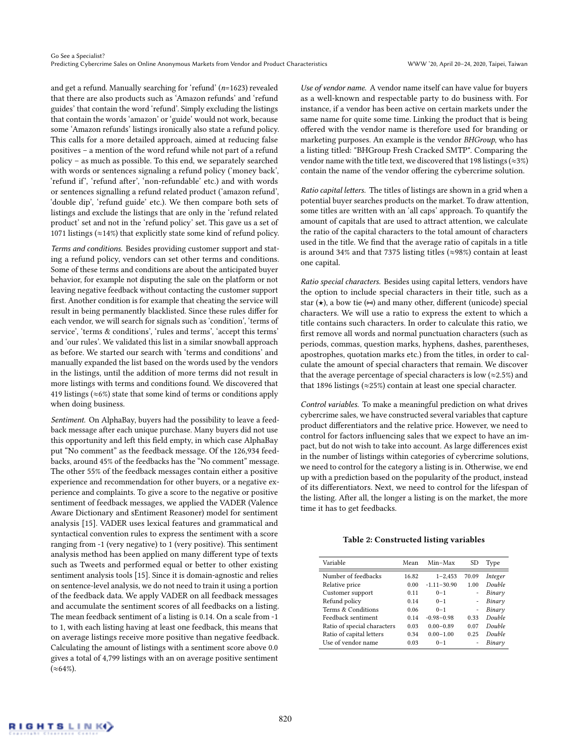Go See a Specialist? Predicting Cybercrime Sales on Online Anonymous Markets from Vendor and Product Characteristics WWW '20, April 20–24, 2020, Taipei, Taiwan

and get a refund. Manually searching for 'refund' (n=1623) revealed that there are also products such as 'Amazon refunds' and 'refund guides' that contain the word 'refund'. Simply excluding the listings that contain the words 'amazon' or 'guide' would not work, because some 'Amazon refunds' listings ironically also state a refund policy. This calls for a more detailed approach, aimed at reducing false positives – a mention of the word refund while not part of a refund policy – as much as possible. To this end, we separately searched with words or sentences signaling a refund policy ('money back', 'refund if', 'refund after', 'non-refundable' etc.) and with words or sentences signalling a refund related product ('amazon refund', 'double dip', 'refund guide' etc.). We then compare both sets of listings and exclude the listings that are only in the 'refund related product' set and not in the 'refund policy' set. This gave us a set of 1071 listings ( $\approx$ 14%) that explicitly state some kind of refund policy.

Terms and conditions. Besides providing customer support and stating a refund policy, vendors can set other terms and conditions. Some of these terms and conditions are about the anticipated buyer behavior, for example not disputing the sale on the platform or not leaving negative feedback without contacting the customer support first. Another condition is for example that cheating the service will result in being permanently blacklisted. Since these rules differ for each vendor, we will search for signals such as 'condition', 'terms of service', 'terms & conditions', 'rules and terms', 'accept this terms' and 'our rules'. We validated this list in a similar snowball approach as before. We started our search with 'terms and conditions' and manually expanded the list based on the words used by the vendors in the listings, until the addition of more terms did not result in more listings with terms and conditions found. We discovered that 419 listings ( $\approx$ 6%) state that some kind of terms or conditions apply when doing business.

Sentiment. On AlphaBay, buyers had the possibility to leave a feedback message after each unique purchase. Many buyers did not use this opportunity and left this field empty, in which case AlphaBay put "No comment" as the feedback message. Of the 126,934 feedbacks, around 45% of the feedbacks has the "No comment" message. The other 55% of the feedback messages contain either a positive experience and recommendation for other buyers, or a negative experience and complaints. To give a score to the negative or positive sentiment of feedback messages, we applied the VADER (Valence Aware Dictionary and sEntiment Reasoner) model for sentiment analysis [\[15\]](#page-11-17). VADER uses lexical features and grammatical and syntactical convention rules to express the sentiment with a score ranging from -1 (very negative) to 1 (very positive). This sentiment analysis method has been applied on many different type of texts such as Tweets and performed equal or better to other existing sentiment analysis tools [\[15\]](#page-11-17). Since it is domain-agnostic and relies on sentence-level analysis, we do not need to train it using a portion of the feedback data. We apply VADER on all feedback messages and accumulate the sentiment scores of all feedbacks on a listing. The mean feedback sentiment of a listing is 0.14. On a scale from -1 to 1, with each listing having at least one feedback, this means that on average listings receive more positive than negative feedback. Calculating the amount of listings with a sentiment score above 0.0 gives a total of 4,799 listings with an on average positive sentiment  $({\approx}64\%)$ .

Use of vendor name. A vendor name itself can have value for buyers as a well-known and respectable party to do business with. For instance, if a vendor has been active on certain markets under the same name for quite some time. Linking the product that is being offered with the vendor name is therefore used for branding or marketing purposes. An example is the vendor BHGroup, who has a listing titled: "BHGroup Fresh Cracked SMTP". Comparing the vendor name with the title text, we discovered that 198 listings ( $\approx$ 3%) contain the name of the vendor offering the cybercrime solution.

Ratio capital letters. The titles of listings are shown in a grid when a potential buyer searches products on the market. To draw attention, some titles are written with an 'all caps' approach. To quantify the amount of capitals that are used to attract attention, we calculate the ratio of the capital characters to the total amount of characters used in the title. We find that the average ratio of capitals in a title is around 34% and that 7375 listing titles ( $\approx$ 98%) contain at least one capital.

Ratio special characters. Besides using capital letters, vendors have the option to include special characters in their title, such as a star  $(\star)$ , a bow tie  $(\star)$  and many other, different (unicode) special characters. We will use a ratio to express the extent to which a title contains such characters. In order to calculate this ratio, we first remove all words and normal punctuation characters (such as periods, commas, question marks, hyphens, dashes, parentheses, apostrophes, quotation marks etc.) from the titles, in order to calculate the amount of special characters that remain. We discover that the average percentage of special characters is low ( $\approx$ 2.5%) and that 1896 listings (≈25%) contain at least one special character.

Control variables. To make a meaningful prediction on what drives cybercrime sales, we have constructed several variables that capture product differentiators and the relative price. However, we need to control for factors influencing sales that we expect to have an impact, but do not wish to take into account. As large differences exist in the number of listings within categories of cybercrime solutions, we need to control for the category a listing is in. Otherwise, we end up with a prediction based on the popularity of the product, instead of its differentiators. Next, we need to control for the lifespan of the listing. After all, the longer a listing is on the market, the more time it has to get feedbacks.

#### Table 2: Constructed listing variables

<span id="page-5-0"></span>

| Variable                    | Mean  | Min-Max         | SD                       | Type    |
|-----------------------------|-------|-----------------|--------------------------|---------|
| Number of feedbacks         | 16.82 | $1 - 2,453$     | 70.09                    | Integer |
| Relative price              | 0.00  | $-1.11 - 30.90$ | 1.00                     | Double  |
| Customer support            | 011   | $0 - 1$         | $\overline{\phantom{0}}$ | Binary  |
| Refund policy               | 0.14  | $0 - 1$         | $\overline{\phantom{0}}$ | Binary  |
| Terms & Conditions          | 0.06  | $0 - 1$         | $\overline{\phantom{0}}$ | Binary  |
| Feedback sentiment          | 0.14  | $-0.98 - 0.98$  | 0.33                     | Double  |
| Ratio of special characters | 0.03  | $0.00 - 0.89$   | 0.07                     | Double  |
| Ratio of capital letters    | 0.34  | $0.00 - 1.00$   | 0.25                     | Double  |
| Use of vendor name          | 0.03  | $0 - 1$         |                          | Binary  |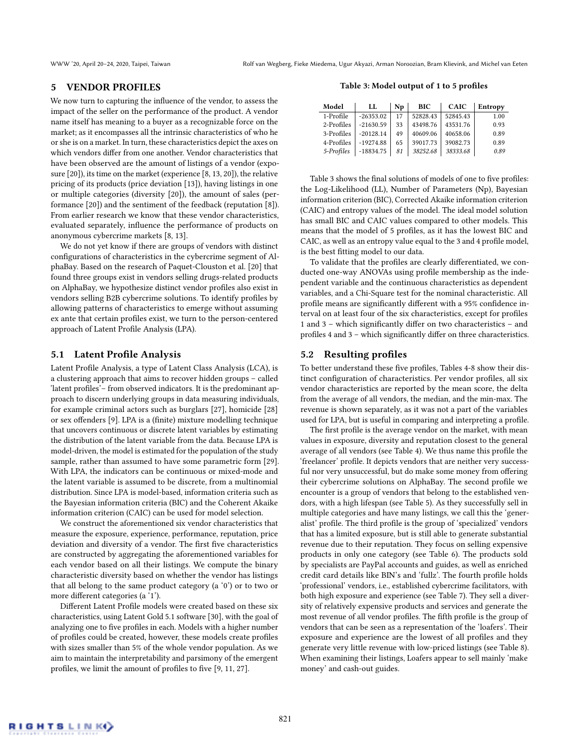## <span id="page-6-0"></span>5 VENDOR PROFILES

We now turn to capturing the influence of the vendor, to assess the impact of the seller on the performance of the product. A vendor name itself has meaning to a buyer as a recognizable force on the market; as it encompasses all the intrinsic characteristics of who he or she is on a market. In turn, these characteristics depict the axes on which vendors differ from one another. Vendor characteristics that have been observed are the amount of listings of a vendor (exposure [\[20\]](#page-11-5)), its time on the market (experience [\[8,](#page-11-8) [13,](#page-11-10) [20\]](#page-11-5)), the relative pricing of its products (price deviation [\[13\]](#page-11-10)), having listings in one or multiple categories (diversity [\[20\]](#page-11-5)), the amount of sales (performance [\[20\]](#page-11-5)) and the sentiment of the feedback (reputation [\[8\]](#page-11-8)). From earlier research we know that these vendor characteristics, evaluated separately, influence the performance of products on anonymous cybercrime markets [\[8,](#page-11-8) [13\]](#page-11-10).

We do not yet know if there are groups of vendors with distinct configurations of characteristics in the cybercrime segment of AlphaBay. Based on the research of Paquet-Clouston et al. [\[20\]](#page-11-5) that found three groups exist in vendors selling drugs-related products on AlphaBay, we hypothesize distinct vendor profiles also exist in vendors selling B2B cybercrime solutions. To identify profiles by allowing patterns of characteristics to emerge without assuming ex ante that certain profiles exist, we turn to the person-centered approach of Latent Profile Analysis (LPA).

## 5.1 Latent Profile Analysis

Latent Profile Analysis, a type of Latent Class Analysis (LCA), is a clustering approach that aims to recover hidden groups – called 'latent profiles'– from observed indicators. It is the predominant approach to discern underlying groups in data measuring individuals, for example criminal actors such as burglars [\[27\]](#page-11-18), homicide [\[28\]](#page-11-19) or sex offenders [\[9\]](#page-11-20). LPA is a (finite) mixture modelling technique that uncovers continuous or discrete latent variables by estimating the distribution of the latent variable from the data. Because LPA is model-driven, the model is estimated for the population of the study sample, rather than assumed to have some parametric form [\[29\]](#page-11-21). With LPA, the indicators can be continuous or mixed-mode and the latent variable is assumed to be discrete, from a multinomial distribution. Since LPA is model-based, information criteria such as the Bayesian information criteria (BIC) and the Coherent Akaike information criterion (CAIC) can be used for model selection.

We construct the aforementioned six vendor characteristics that measure the exposure, experience, performance, reputation, price deviation and diversity of a vendor. The first five characteristics are constructed by aggregating the aforementioned variables for each vendor based on all their listings. We compute the binary characteristic diversity based on whether the vendor has listings that all belong to the same product category (a '0') or to two or more different categories (a '1').

Different Latent Profile models were created based on these six characteristics, using Latent Gold 5.1 software [\[30\]](#page-11-22), with the goal of analyzing one to five profiles in each. Models with a higher number of profiles could be created, however, these models create profiles with sizes smaller than 5% of the whole vendor population. As we aim to maintain the interpretability and parsimony of the emergent profiles, we limit the amount of profiles to five [\[9,](#page-11-20) [11,](#page-11-23) [27\]](#page-11-18).

Table 3: Model output of 1 to 5 profiles

<span id="page-6-1"></span>

| Model      | LL          | Np | <b>BIC</b> | <b>CAIC</b> | Entropy |
|------------|-------------|----|------------|-------------|---------|
| 1-Profile  | $-26353.02$ | 17 | 52828.43   | 52845.43    | 1.00    |
| 2-Profiles | $-21630.59$ | 33 | 43498.76   | 43531.76    | 0.93    |
| 3-Profiles | $-20128.14$ | 49 | 40609.06   | 40658.06    | 0.89    |
| 4-Profiles | $-19274.88$ | 65 | 39017.73   | 39082.73    | 0.89    |
| 5-Profiles | $-18834.75$ | 81 | 38252.68   | 38333.68    | 0.89    |

Table [3](#page-6-1) shows the final solutions of models of one to five profiles: the Log-Likelihood (LL), Number of Parameters (Np), Bayesian information criterion (BIC), Corrected Akaike information criterion (CAIC) and entropy values of the model. The ideal model solution has small BIC and CAIC values compared to other models. This means that the model of 5 profiles, as it has the lowest BIC and CAIC, as well as an entropy value equal to the 3 and 4 profile model, is the best fitting model to our data.

To validate that the profiles are clearly differentiated, we conducted one-way ANOVAs using profile membership as the independent variable and the continuous characteristics as dependent variables, and a Chi-Square test for the nominal characteristic. All profile means are significantly different with a 95% confidence interval on at least four of the six characteristics, except for profiles 1 and 3 – which significantly differ on two characteristics – and profiles 4 and 3 – which significantly differ on three characteristics.

## 5.2 Resulting profiles

To better understand these five profiles, Tables 4-8 show their distinct configuration of characteristics. Per vendor profiles, all six vendor characteristics are reported by the mean score, the delta from the average of all vendors, the median, and the min-max. The revenue is shown separately, as it was not a part of the variables used for LPA, but is useful in comparing and interpreting a profile.

The first profile is the average vendor on the market, with mean values in exposure, diversity and reputation closest to the general average of all vendors (see Table [4\)](#page-7-0). We thus name this profile the 'freelancer' profile. It depicts vendors that are neither very successful nor very unsuccessful, but do make some money from offering their cybercrime solutions on AlphaBay. The second profile we encounter is a group of vendors that belong to the established vendors, with a high lifespan (see Table [5\)](#page-7-1). As they successfully sell in multiple categories and have many listings, we call this the 'generalist' profile. The third profile is the group of 'specialized' vendors that has a limited exposure, but is still able to generate substantial revenue due to their reputation. They focus on selling expensive products in only one category (see Table [6\)](#page-7-2). The products sold by specialists are PayPal accounts and guides, as well as enriched credit card details like BIN's and 'fullz'. The fourth profile holds 'professional' vendors, i.e., established cybercrime facilitators, with both high exposure and experience (see Table [7\)](#page-7-3). They sell a diversity of relatively expensive products and services and generate the most revenue of all vendor profiles. The fifth profile is the group of vendors that can be seen as a representation of the 'loafers'. Their exposure and experience are the lowest of all profiles and they generate very little revenue with low-priced listings (see Table [8\)](#page-7-4). When examining their listings, Loafers appear to sell mainly 'make money' and cash-out guides.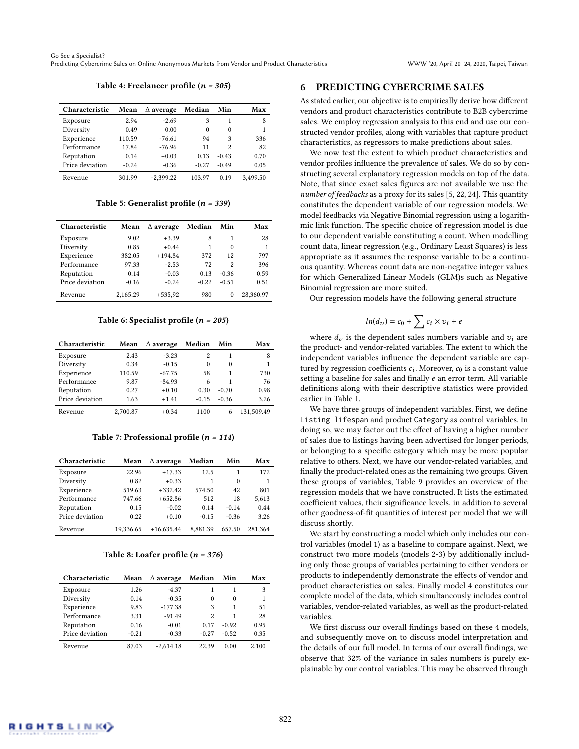#### Table 4: Freelancer profile  $(n = 305)$

<span id="page-7-0"></span>

| Characteristic  | Mean    | $\triangle$ average | Median  | Min      | Max      |
|-----------------|---------|---------------------|---------|----------|----------|
| Exposure        | 2.94    | $-2.69$             | 3       | 1        | 8        |
| Diversity       | 0.49    | 0.00                | 0       | $\theta$ |          |
| Experience      | 110.59  | $-76.61$            | 94      | 3        | 336      |
| Performance     | 17.84   | $-76.96$            | 11      | 2        | 82       |
| Reputation      | 0.14    | $+0.03$             | 0.13    | $-0.43$  | 0.70     |
| Price deviation | $-0.24$ | $-0.36$             | $-0.27$ | $-0.49$  | 0.05     |
| Revenue         | 301.99  | $-2.399.22$         | 103.97  | 0.19     | 3.499.50 |

#### Table 5: Generalist profile  $(n = 339)$

<span id="page-7-1"></span>

| Characteristic  | Mean     | $\Delta$ average | Median  | Min               | Max       |
|-----------------|----------|------------------|---------|-------------------|-----------|
| Exposure        | 9.02     | $+3.39$          | 8       | 1                 | 28        |
| Diversity       | 0.85     | $+0.44$          |         | $\Omega$          |           |
| Experience      | 382.05   | $+194.84$        | 372     | 12                | 797       |
| Performance     | 97.33    | $-2.53$          | 72      | $\mathcal{D}_{1}$ | 396       |
| Reputation      | 0.14     | $-0.03$          | 0.13    | $-0.36$           | 0.59      |
| Price deviation | $-0.16$  | $-0.24$          | $-0.22$ | $-0.51$           | 0.51      |
| Revenue         | 2.165.29 | $+535,92$        | 980     | $\theta$          | 28.360.97 |

#### Table 6: Specialist profile  $(n = 205)$

<span id="page-7-2"></span>

| Characteristic  | Mean     | $\Delta$ average | Median  | Min      | Max        |
|-----------------|----------|------------------|---------|----------|------------|
| Exposure        | 2.43     | $-3.23$          | 2       | 1        | 8          |
| Diversity       | 0.34     | $-0.15$          | 0       | $\theta$ |            |
| Experience      | 110.59   | $-67.75$         | 58      | 1        | 730        |
| Performance     | 9.87     | $-84.93$         | 6       | 1        | 76         |
| Reputation      | 0.27     | $+0.10$          | 0.30    | $-0.70$  | 0.98       |
| Price deviation | 1.63     | $+1.41$          | $-0.15$ | $-0.36$  | 3.26       |
| Revenue         | 2,700.87 | $+0.34$          | 1100    | 6        | 131.509.49 |

Table 7: Professional profile  $(n = 114)$ 

<span id="page-7-3"></span>

| Characteristic  | Mean      | $\Delta$ average | Median   | Min      | Max     |
|-----------------|-----------|------------------|----------|----------|---------|
| Exposure        | 22.96     | $+17.33$         | 12.5     | 1        | 172     |
| Diversity       | 0.82      | $+0.33$          |          | $\Omega$ | 1       |
| Experience      | 519.63    | $+332.42$        | 574.50   | 42       | 801     |
| Performance     | 747.66    | $+652.86$        | 512      | 18       | 5,613   |
| Reputation      | 0.15      | $-0.02$          | 0.14     | $-0.14$  | 0.44    |
| Price deviation | 0.22      | $+0.10$          | $-0.15$  | $-0.36$  | 3.26    |
| Revenue         | 19.336.65 | $+16,635.44$     | 8.881.39 | 657.50   | 281.364 |

#### Table 8: Loafer profile  $(n = 376)$

<span id="page-7-4"></span>

| Characteristic  | Mean    | $\Delta$ average | Median            | Min      | Max   |
|-----------------|---------|------------------|-------------------|----------|-------|
| Exposure        | 1.26    | $-4.37$          |                   | 1        | 3     |
| Diversity       | 0.14    | $-0.35$          | 0                 | $\Omega$ |       |
| Experience      | 9.83    | $-177.38$        | 3                 | 1        | 51    |
| Performance     | 3.31    | $-91.49$         | $\mathcal{D}_{1}$ | 1        | 28    |
| Reputation      | 0.16    | $-0.01$          | 0.17              | $-0.92$  | 0.95  |
| Price deviation | $-0.21$ | $-0.33$          | $-0.27$           | $-0.52$  | 0.35  |
| Revenue         | 87.03   | $-2.614.18$      | 22.39             | 0.00     | 2.100 |

## 6 PREDICTING CYBERCRIME SALES

As stated earlier, our objective is to empirically derive how different vendors and product characteristics contribute to B2B cybercrime sales. We employ regression analysis to this end and use our constructed vendor profiles, along with variables that capture product characteristics, as regressors to make predictions about sales.

We now test the extent to which product characteristics and vendor profiles influence the prevalence of sales. We do so by constructing several explanatory regression models on top of the data. Note, that since exact sales figures are not available we use the number of feedbacks as a proxy for its sales [\[5,](#page-11-15) [22,](#page-11-11) [24\]](#page-11-4). This quantity constitutes the dependent variable of our regression models. We model feedbacks via Negative Binomial regression using a logarithmic link function. The specific choice of regression model is due to our dependent variable constituting a count. When modelling count data, linear regression (e.g., Ordinary Least Squares) is less appropriate as it assumes the response variable to be a continuous quantity. Whereas count data are non-negative integer values for which Generalized Linear Models (GLM)s such as Negative Binomial regression are more suited.

Our regression models have the following general structure

$$
ln(d_{\upsilon}) = c_0 + \sum c_i \times \upsilon_i + e
$$

where  $d_v$  is the dependent sales numbers variable and  $v_i$  are the product- and vendor-related variables. The extent to which the independent variables influence the dependent variable are captured by regression coefficients  $c_i$ . Moreover,  $c_0$  is a constant value<br>setting a baseline for sales and finally e an error term. All variable setting a baseline for sales and finally e an error term. All variable definitions along with their descriptive statistics were provided earlier in Table [1.](#page-4-1)

We have three groups of independent variables. First, we define Listing lifespan and product Category as control variables. In doing so, we may factor out the effect of having a higher number of sales due to listings having been advertised for longer periods, or belonging to a specific category which may be more popular relative to others. Next, we have our vendor-related variables, and finally the product-related ones as the remaining two groups. Given these groups of variables, [Table 9](#page-8-0) provides an overview of the regression models that we have constructed. It lists the estimated coefficient values, their significance levels, in addition to several other goodness-of-fit quantities of interest per model that we will discuss shortly.

We start by constructing a model which only includes our control variables (model 1) as a baseline to compare against. Next, we construct two more models (models 2-3) by additionally including only those groups of variables pertaining to either vendors or products to independently demonstrate the effects of vendor and product characteristics on sales. Finally model 4 constitutes our complete model of the data, which simultaneously includes control variables, vendor-related variables, as well as the product-related variables.

We first discuss our overall findings based on these 4 models, and subsequently move on to discuss model interpretation and the details of our full model. In terms of our overall findings, we observe that 32% of the variance in sales numbers is purely explainable by our control variables. This may be observed through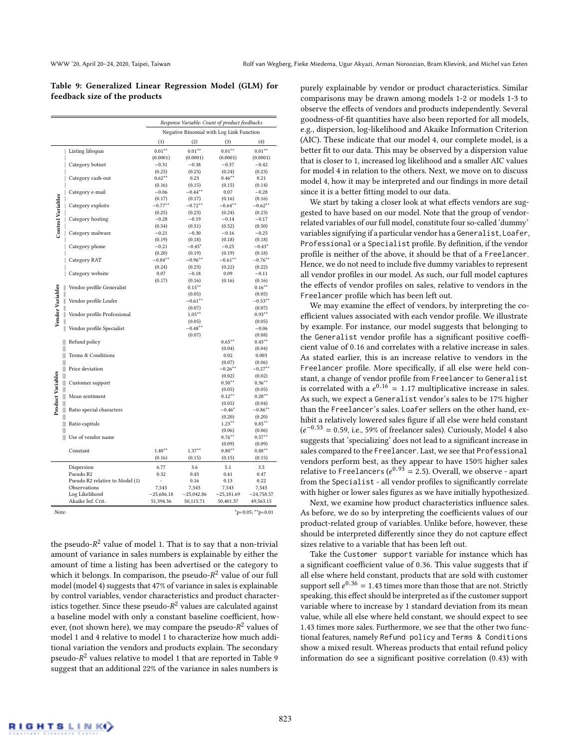<span id="page-8-0"></span>Table 9: Generalized Linear Regression Model (GLM) for feedback size of the products

|                             |                                 |              |                     | Response Variable: Count of product feedbacks |                                           |
|-----------------------------|---------------------------------|--------------|---------------------|-----------------------------------------------|-------------------------------------------|
|                             |                                 |              |                     | Negative Binomial with Log Link Function      |                                           |
|                             |                                 | (1)          | (2)                 | (3)                                           | (4)                                       |
|                             | Listing lifespan                | $0.01***$    | $0.01**$            | $0.01**$                                      | $0.01**$                                  |
|                             |                                 | (0.0001)     | (0.0001)            | (0.0001)                                      | (0.0001)                                  |
|                             | Category botnet                 | $-0.31$      | $-0.38$             | $-0.37$                                       | $-0.42$                                   |
|                             |                                 | (0.25)       | (0.23)              | (0.24)                                        | (0.23)                                    |
|                             | Category cash-out               | $0.62**$     | 0.23                | $0.46***$                                     | 0.21                                      |
|                             |                                 | (0.16)       | (0.15)              | (0.15)                                        | (0.14)                                    |
| <b>Control Variables</b>    | Category e-mail                 | $-0.06$      | $-0.44***$          | 0.07                                          | $-0.28$                                   |
|                             |                                 | (0.17)       | (0.17)              | (0.16)                                        | (0.16)                                    |
|                             | Category exploits               | $-0.77***$   | $-0.72**$           | $-0.64***$                                    | $-0.62**$                                 |
|                             |                                 | (0.25)       | (0.23)              | (0.24)                                        | (0.23)                                    |
|                             | Category hosting                | $-0.28$      | $-0.19$             | $-0.14$                                       | $-0.17$                                   |
|                             |                                 | (0.54)       | (0.51)              | (0.52)                                        | (0.50)                                    |
|                             | Category malware                | $-0.21$      | $-0.30$             | $-0.16$                                       | $-0.25$                                   |
|                             |                                 | (0.19)       | (0.18)              | (0.18)                                        | (0.18)                                    |
|                             | Category phone                  | $-0.21$      | $-0.45^*$           | $-0.25$                                       | $-0.43*$                                  |
|                             |                                 | (0.20)       | (0.19)              | (0.19)                                        | (0.18)                                    |
|                             | Category RAT                    | $-0.84***$   | $-0.96***$          | $-0.61***$                                    | $-0.76***$                                |
|                             |                                 | (0.24)       | (0.23)              | (0.22)                                        | (0.22)                                    |
|                             | Category website                | 0.07         | $-0.18$             | 0.09                                          | $-0.11$                                   |
|                             |                                 | (0.17)       | (0.16)              | (0.16)                                        | (0.16)                                    |
| Ш                           | Vendor profile Generalist       |              | $0.15***$           |                                               | $0.16***$                                 |
| Vendor Variables<br>Ш<br>II |                                 |              | (0.05)              |                                               | (0.05)                                    |
|                             | Vendor profile Loafer           |              | $-0.61***$          |                                               | $-0.53***$                                |
|                             | Vendor profile Professional     |              | (0.07)<br>$1.05***$ |                                               | (0.07)<br>$0.93**$                        |
|                             | II                              |              | (0.05)              |                                               | (0.05)                                    |
|                             | II<br>Vendor profile Specialist |              | $-0.48**$           |                                               | $-0.06$                                   |
|                             |                                 |              | (0.07)              |                                               | (0.08)                                    |
| Ⅲ                           | Refund policy                   |              |                     | $0.65***$                                     | $0.43***$                                 |
| Ⅲ                           |                                 |              |                     | (0.04)                                        | (0.04)                                    |
| Ⅲ                           | Terms & Conditions              |              |                     | 0.02                                          | 0.003                                     |
| Ⅲ                           |                                 |              |                     | (0.07)                                        | (0.06)                                    |
| Ⅲ                           | Price deviation                 |              |                     | $-0.26***$                                    | $-0.27***$                                |
| Ⅲ                           |                                 |              |                     | (0.02)                                        | (0.02)                                    |
| Ⅲ                           | Customer support                |              |                     | $0.50**$                                      | $0.36**$                                  |
| Ⅲ                           |                                 |              |                     | (0.05)                                        | (0.05)                                    |
| Product Variables<br>Ⅲ      | Mean sentiment                  |              |                     | $0.12***$                                     | $0.20**$                                  |
| Ⅲ                           |                                 |              |                     | (0.05)                                        | (0.04)                                    |
| Ⅲ                           | Ratio special characters        |              |                     | $-0.46*$                                      | $-0.86***$                                |
| Ⅲ                           |                                 |              |                     | (0.20)                                        | (0.20)                                    |
| Ⅲ                           | Ratio capitals                  |              |                     | $1.23***$                                     | $0.85***$                                 |
| Ш                           |                                 |              |                     | (0.06)                                        | (0.06)                                    |
| Ⅲ                           | Use of vendor name              |              |                     | $0.76***$                                     | $0.57**$                                  |
|                             |                                 |              |                     | (0.09)                                        | (0.09)                                    |
|                             | Constant                        | $1.40**$     | $1.37***$           | $0.80***$                                     | $0.88***$                                 |
|                             |                                 | (0.16)       | (0.15)              | (0.15)                                        | (0.15)                                    |
|                             | Dispersion                      | 6.77         | 3.6                 | 5.1                                           | 3.5                                       |
|                             | Pseudo R2                       | 0.32         | 0.43                | 0.41                                          | 0.47                                      |
|                             | Pseudo R2 relative to Model (1) | ä,           | 0.16                | 0.13                                          | 0.22                                      |
|                             | Observations                    | 7,543        | 7,543               | 7,543                                         | 7,543                                     |
|                             | Log Likelihood                  | $-25,686.18$ | $-25,042.86$        | $-25,181.69$                                  | $-24,758.57$                              |
|                             | Akaike Inf. Crit.               | 51,394.36    | 50,115.71           | 50,401.37                                     | 49,563.15                                 |
| Note:                       |                                 |              |                     |                                               | $~^{\ast}p$ < 0.05; $~^{\ast}$ * p < 0.01 |
|                             |                                 |              |                     |                                               |                                           |

the pseudo- $R^2$  value of model 1. That is to say that a non-trivial<br>amount of variance in sales numbers is explainable by either the amount of variance in sales numbers is explainable by either the amount of time a listing has been advertised or the category to which it belongs. In comparison, the pseudo- $R^2$  value of our full<br>model (model 4) suggests that 47% of variance in sales is explainable model (model 4) suggests that 47% of variance in sales is explainable by control variables, vendor characteristics and product characteristics together. Since these pseudo- $R^2$  values are calculated against<br>a baseline model with only a constant baseline coefficient, bowa baseline model with only a constant baseline coefficient, however, (not shown here), we may compare the pseudo- $R^2$  values of model 1 and 4 relative to model 1 to characterize how much addimodel 1 and 4 relative to model 1 to characterize how much additional variation the vendors and products explain. The secondary pseudo- $R^2$  values relative to model 1 that are reported in Table [9](#page-8-0)<br>suggest that an additional 22% of the variance in sales numbers is suggest that an additional 22% of the variance in sales numbers is

purely explainable by vendor or product characteristics. Similar comparisons may be drawn among models 1-2 or models 1-3 to observe the effects of vendors and products independently. Several goodness-of-fit quantities have also been reported for all models, e.g., dispersion, log-likelihood and Akaike Information Criterion (AIC). These indicate that our model 4, our complete model, is a better fit to our data. This may be observed by a dispersion value that is closer to 1, increased log likelihood and a smaller AIC values for model 4 in relation to the others. Next, we move on to discuss model 4, how it may be interpreted and our findings in more detail since it is a better fitting model to our data.

We start by taking a closer look at what effects vendors are suggested to have based on our model. Note that the group of vendorrelated variables of our full model, constitute four so-called 'dummy' variables signifying if a particular vendor has a Generalist, Loafer, Professional or a Specialist profile. By definition, if the vendor profile is neither of the above, it should be that of a Freelancer. Hence, we do not need to include five dummy variables to represent all vendor profiles in our model. As such, our full model captures the effects of vendor profiles on sales, relative to vendors in the Freelancer profile which has been left out.

We may examine the effect of vendors, by interpreting the coefficient values associated with each vendor profile. We illustrate by example. For instance, our model suggests that belonging to the Generalist vendor profile has a significant positive coefficient value of <sup>0</sup>.<sup>16</sup> and correlates with a relative increase in sales. As stated earlier, this is an increase relative to vendors in the Freelancer profile. More specifically, if all else were held constant, a change of vendor profile from Freelancer to Generalist is correlated with a  $e^{0.16} = 1.17$  multiplicative increase in sales. As such, we expect a Generalist vendor's sales to be 17% higher than the Freelancer's sales. Loafer sellers on the other hand, exhibit a relatively lowered sales figure if all else were held constant  $(e^{-0.53} = 0.59$ , i.e., 59% of freelancer sales). Curiously, Model 4 also<br>suggests that 'specializing' does not lead to a significant increase in suggests that 'specializing' does not lead to a significant increase in sales compared to the Freelancer. Last, we see that Professional vendors perform best, as they appear to have 150% higher sales relative to FreeLancers ( $e^{0.93} = 2.5$ ). Overall, we observe - apart<br>from the Special is t<sub>o</sub> all vendor profiles to significantly correlate from the Specialist - all vendor profiles to significantly correlate with higher or lower sales figures as we have initially hypothesized.

Next, we examine how product characteristics influence sales. As before, we do so by interpreting the coefficients values of our product-related group of variables. Unlike before, however, these should be interpreted differently since they do not capture effect sizes relative to a variable that has been left out.

Take the Customer support variable for instance which has a significant coefficient value of <sup>0</sup>.36. This value suggests that if all else where held constant, products that are sold with customer support sell  $e^{0.36} = 1.43$  times more than those that are not. Strictly speaking, this effect should be interpreted as if the customer support variable where to increase by 1 standard deviation from its mean value, while all else where held constant, we should expect to see <sup>1</sup>.<sup>43</sup> times more sales. Furthermore, we see that the other two functional features, namely Refund policy and Terms & Conditions show a mixed result. Whereas products that entail refund policy information do see a significant positive correlation (0.43) with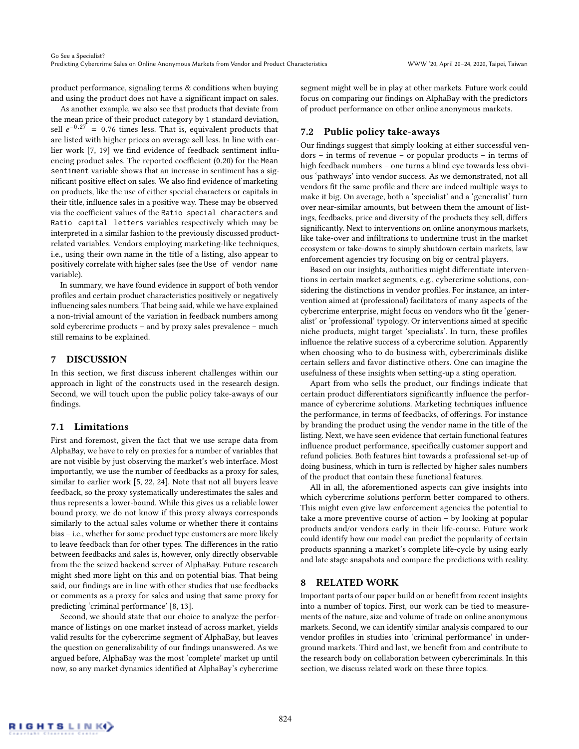product performance, signaling terms & conditions when buying and using the product does not have a significant impact on sales.

As another example, we also see that products that deviate from the mean price of their product category by 1 standard deviation, sell  $e^{-0.27} = 0.76$  times less. That is, equivalent products that are listed with higher prices on average sell less. In line with earare listed with higher prices on average sell less. In line with earlier work [\[7,](#page-11-7) [19\]](#page-11-24) we find evidence of feedback sentiment influencing product sales. The reported coefficient (0.20) for the Mean sentiment variable shows that an increase in sentiment has a significant positive effect on sales. We also find evidence of marketing on products, like the use of either special characters or capitals in their title, influence sales in a positive way. These may be observed via the coefficient values of the Ratio special characters and Ratio capital letters variables respectively which may be interpreted in a similar fashion to the previously discussed productrelated variables. Vendors employing marketing-like techniques, i.e., using their own name in the title of a listing, also appear to positively correlate with higher sales (see the Use of vendor name variable).

In summary, we have found evidence in support of both vendor profiles and certain product characteristics positively or negatively influencing sales numbers. That being said, while we have explained a non-trivial amount of the variation in feedback numbers among sold cybercrime products – and by proxy sales prevalence – much still remains to be explained.

## 7 DISCUSSION

In this section, we first discuss inherent challenges within our approach in light of the constructs used in the research design. Second, we will touch upon the public policy take-aways of our findings.

## 7.1 Limitations

First and foremost, given the fact that we use scrape data from AlphaBay, we have to rely on proxies for a number of variables that are not visible by just observing the market's web interface. Most importantly, we use the number of feedbacks as a proxy for sales, similar to earlier work [\[5,](#page-11-15) [22,](#page-11-11) [24\]](#page-11-4). Note that not all buyers leave feedback, so the proxy systematically underestimates the sales and thus represents a lower-bound. While this gives us a reliable lower bound proxy, we do not know if this proxy always corresponds similarly to the actual sales volume or whether there it contains bias – i.e., whether for some product type customers are more likely to leave feedback than for other types. The differences in the ratio between feedbacks and sales is, however, only directly observable from the the seized backend server of AlphaBay. Future research might shed more light on this and on potential bias. That being said, our findings are in line with other studies that use feedbacks or comments as a proxy for sales and using that same proxy for predicting 'criminal performance' [\[8,](#page-11-8) [13\]](#page-11-10).

Second, we should state that our choice to analyze the performance of listings on one market instead of across market, yields valid results for the cybercrime segment of AlphaBay, but leaves the question on generalizability of our findings unanswered. As we argued before, AlphaBay was the most 'complete' market up until now, so any market dynamics identified at AlphaBay's cybercrime

segment might well be in play at other markets. Future work could focus on comparing our findings on AlphaBay with the predictors of product performance on other online anonymous markets.

## 7.2 Public policy take-aways

Our findings suggest that simply looking at either successful vendors – in terms of revenue – or popular products – in terms of high feedback numbers – one turns a blind eye towards less obvious 'pathways' into vendor success. As we demonstrated, not all vendors fit the same profile and there are indeed multiple ways to make it big. On average, both a 'specialist' and a 'generalist' turn over near-similar amounts, but between them the amount of listings, feedbacks, price and diversity of the products they sell, differs significantly. Next to interventions on online anonymous markets, like take-over and infiltrations to undermine trust in the market ecosystem or take-downs to simply shutdown certain markets, law enforcement agencies try focusing on big or central players.

Based on our insights, authorities might differentiate interventions in certain market segments, e.g., cybercrime solutions, considering the distinctions in vendor profiles. For instance, an intervention aimed at (professional) facilitators of many aspects of the cybercrime enterprise, might focus on vendors who fit the 'generalist' or 'professional' typology. Or interventions aimed at specific niche products, might target 'specialists'. In turn, these profiles influence the relative success of a cybercrime solution. Apparently when choosing who to do business with, cybercriminals dislike certain sellers and favor distinctive others. One can imagine the usefulness of these insights when setting-up a sting operation.

Apart from who sells the product, our findings indicate that certain product differentiators significantly influence the performance of cybercrime solutions. Marketing techniques influence the performance, in terms of feedbacks, of offerings. For instance by branding the product using the vendor name in the title of the listing. Next, we have seen evidence that certain functional features influence product performance, specifically customer support and refund policies. Both features hint towards a professional set-up of doing business, which in turn is reflected by higher sales numbers of the product that contain these functional features.

All in all, the aforementioned aspects can give insights into which cybercrime solutions perform better compared to others. This might even give law enforcement agencies the potential to take a more preventive course of action – by looking at popular products and/or vendors early in their life-course. Future work could identify how our model can predict the popularity of certain products spanning a market's complete life-cycle by using early and late stage snapshots and compare the predictions with reality.

## 8 RELATED WORK

Important parts of our paper build on or benefit from recent insights into a number of topics. First, our work can be tied to measurements of the nature, size and volume of trade on online anonymous markets. Second, we can identify similar analysis compared to our vendor profiles in studies into 'criminal performance' in underground markets. Third and last, we benefit from and contribute to the research body on collaboration between cybercriminals. In this section, we discuss related work on these three topics.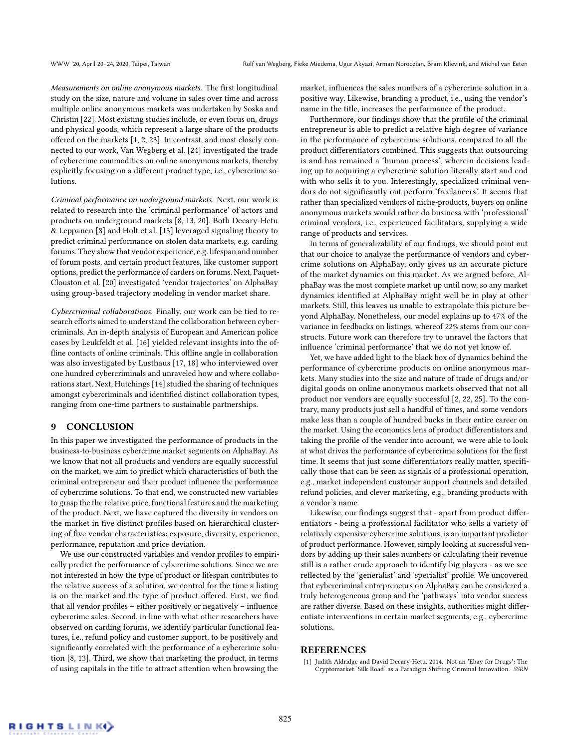Measurements on online anonymous markets. The first longitudinal study on the size, nature and volume in sales over time and across multiple online anonymous markets was undertaken by Soska and Christin [\[22\]](#page-11-11). Most existing studies include, or even focus on, drugs and physical goods, which represent a large share of the products offered on the markets [\[1,](#page-10-0) [2,](#page-11-12) [23\]](#page-11-25). In contrast, and most closely connected to our work, Van Wegberg et al. [\[24\]](#page-11-4) investigated the trade of cybercrime commodities on online anonymous markets, thereby explicitly focusing on a different product type, i.e., cybercrime solutions.

Criminal performance on underground markets. Next, our work is related to research into the 'criminal performance' of actors and products on underground markets [\[8,](#page-11-8) [13,](#page-11-10) [20\]](#page-11-5). Both Decary-Hetu & Leppanen [\[8\]](#page-11-8) and Holt et al. [\[13\]](#page-11-10) leveraged signaling theory to predict criminal performance on stolen data markets, e.g. carding forums. They show that vendor experience, e.g. lifespan and number of forum posts, and certain product features, like customer support options, predict the performance of carders on forums. Next, Paquet-Clouston et al. [\[20\]](#page-11-5) investigated 'vendor trajectories' on AlphaBay using group-based trajectory modeling in vendor market share.

Cybercriminal collaborations. Finally, our work can be tied to research efforts aimed to understand the collaboration between cybercriminals. An in-depth analysis of European and American police cases by Leukfeldt et al. [\[16\]](#page-11-26) yielded relevant insights into the offline contacts of online criminals. This offline angle in collaboration was also investigated by Lusthaus [\[17,](#page-11-27) [18\]](#page-11-28) who interviewed over one hundred cybercriminals and unraveled how and where collaborations start. Next, Hutchings [\[14\]](#page-11-29) studied the sharing of techniques amongst cybercriminals and identified distinct collaboration types, ranging from one-time partners to sustainable partnerships.

## 9 CONCLUSION

In this paper we investigated the performance of products in the business-to-business cybercrime market segments on AlphaBay. As we know that not all products and vendors are equally successful on the market, we aim to predict which characteristics of both the criminal entrepreneur and their product influence the performance of cybercrime solutions. To that end, we constructed new variables to grasp the the relative price, functional features and the marketing of the product. Next, we have captured the diversity in vendors on the market in five distinct profiles based on hierarchical clustering of five vendor characteristics: exposure, diversity, experience, performance, reputation and price deviation.

We use our constructed variables and vendor profiles to empirically predict the performance of cybercrime solutions. Since we are not interested in how the type of product or lifespan contributes to the relative success of a solution, we control for the time a listing is on the market and the type of product offered. First, we find that all vendor profiles – either positively or negatively – influence cybercrime sales. Second, in line with what other researchers have observed on carding forums, we identify particular functional features, i.e., refund policy and customer support, to be positively and significantly correlated with the performance of a cybercrime solution [\[8,](#page-11-8) [13\]](#page-11-10). Third, we show that marketing the product, in terms of using capitals in the title to attract attention when browsing the

market, influences the sales numbers of a cybercrime solution in a positive way. Likewise, branding a product, i.e., using the vendor's name in the title, increases the performance of the product.

Furthermore, our findings show that the profile of the criminal entrepreneur is able to predict a relative high degree of variance in the performance of cybercrime solutions, compared to all the product differentiators combined. This suggests that outsourcing is and has remained a 'human process', wherein decisions leading up to acquiring a cybercrime solution literally start and end with who sells it to you. Interestingly, specialized criminal vendors do not significantly out perform 'freelancers'. It seems that rather than specialized vendors of niche-products, buyers on online anonymous markets would rather do business with 'professional' criminal vendors, i.e., experienced facilitators, supplying a wide range of products and services.

In terms of generalizability of our findings, we should point out that our choice to analyze the performance of vendors and cybercrime solutions on AlphaBay, only gives us an accurate picture of the market dynamics on this market. As we argued before, AlphaBay was the most complete market up until now, so any market dynamics identified at AlphaBay might well be in play at other markets. Still, this leaves us unable to extrapolate this picture beyond AlphaBay. Nonetheless, our model explains up to 47% of the variance in feedbacks on listings, whereof 22% stems from our constructs. Future work can therefore try to unravel the factors that influence 'criminal performance' that we do not yet know of.

Yet, we have added light to the black box of dynamics behind the performance of cybercrime products on online anonymous markets. Many studies into the size and nature of trade of drugs and/or digital goods on online anonymous markets observed that not all product nor vendors are equally successful [\[2,](#page-11-12) [22,](#page-11-11) [25\]](#page-11-14). To the contrary, many products just sell a handful of times, and some vendors make less than a couple of hundred bucks in their entire career on the market. Using the economics lens of product differentiators and taking the profile of the vendor into account, we were able to look at what drives the performance of cybercrime solutions for the first time. It seems that just some differentiators really matter, specifically those that can be seen as signals of a professional operation, e.g., market independent customer support channels and detailed refund policies, and clever marketing, e.g., branding products with a vendor's name.

Likewise, our findings suggest that - apart from product differentiators - being a professional facilitator who sells a variety of relatively expensive cybercrime solutions, is an important predictor of product performance. However, simply looking at successful vendors by adding up their sales numbers or calculating their revenue still is a rather crude approach to identify big players - as we see reflected by the 'generalist' and 'specialist' profile. We uncovered that cybercriminal entrepreneurs on AlphaBay can be considered a truly heterogeneous group and the 'pathways' into vendor success are rather diverse. Based on these insights, authorities might differentiate interventions in certain market segments, e.g., cybercrime solutions.

## **REFERENCES**

<span id="page-10-0"></span>[1] Judith Aldridge and David Decary-Hetu. 2014. Not an 'Ebay for Drugs': The Cryptomarket 'Silk Road' as a Paradigm Shifting Criminal Innovation. SSRN